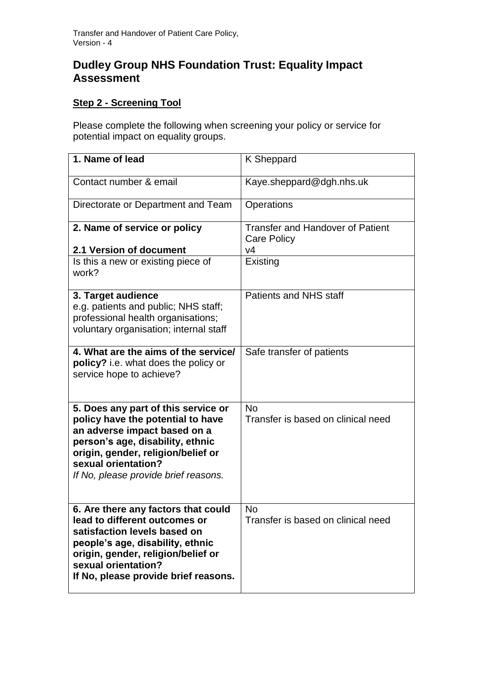## **Dudley Group NHS Foundation Trust: Equality Impact Assessment**

## **Step 2 - Screening Tool**

Please complete the following when screening your policy or service for potential impact on equality groups.

| 1. Name of lead                                                                                                                                                                                                                                   | K Sheppard                                                    |
|---------------------------------------------------------------------------------------------------------------------------------------------------------------------------------------------------------------------------------------------------|---------------------------------------------------------------|
| Contact number & email                                                                                                                                                                                                                            | Kaye.sheppard@dgh.nhs.uk                                      |
| Directorate or Department and Team                                                                                                                                                                                                                | Operations                                                    |
| 2. Name of service or policy                                                                                                                                                                                                                      | <b>Transfer and Handover of Patient</b><br><b>Care Policy</b> |
| 2.1 Version of document                                                                                                                                                                                                                           | V <sub>4</sub>                                                |
| Is this a new or existing piece of<br>work?                                                                                                                                                                                                       | Existing                                                      |
| 3. Target audience<br>e.g. patients and public; NHS staff;<br>professional health organisations;<br>voluntary organisation; internal staff                                                                                                        | Patients and NHS staff                                        |
| 4. What are the aims of the service/<br>policy? i.e. what does the policy or<br>service hope to achieve?                                                                                                                                          | Safe transfer of patients                                     |
| 5. Does any part of this service or<br>policy have the potential to have<br>an adverse impact based on a<br>person's age, disability, ethnic<br>origin, gender, religion/belief or<br>sexual orientation?<br>If No, please provide brief reasons. | <b>No</b><br>Transfer is based on clinical need               |
| 6. Are there any factors that could<br>lead to different outcomes or<br>satisfaction levels based on<br>people's age, disability, ethnic<br>origin, gender, religion/belief or<br>sexual orientation?<br>If No, please provide brief reasons.     | <b>No</b><br>Transfer is based on clinical need               |